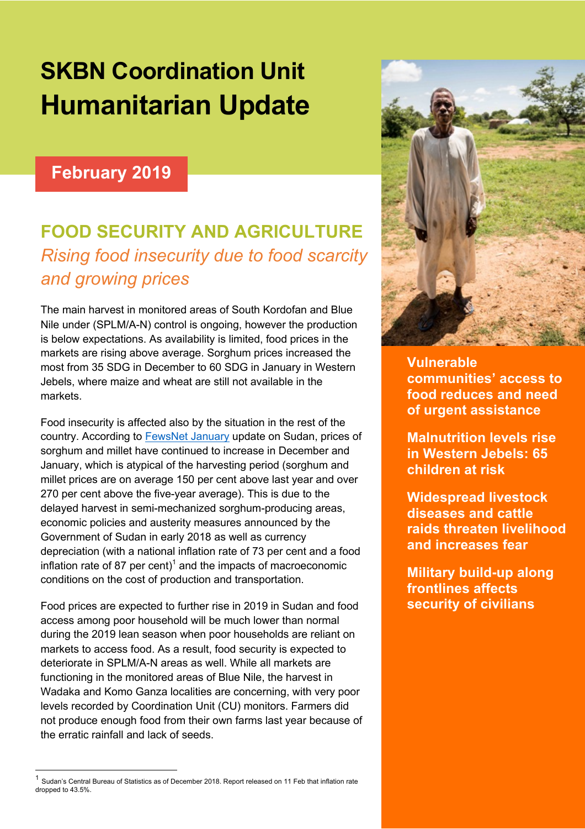# **SKBN Coordination Unit Humanitarian Update**

#### **February 2019**

# **FOOD SECURITY AND AGRICULTURE** *Rising food insecurity due to food scarcity and growing prices*

The main harvest in monitored areas of South Kordofan and Blue Nile under (SPLM/A-N) control is ongoing, however the production is below expectations. As availability is limited, food prices in the markets are rising above average. Sorghum prices increased the most from 35 SDG in December to 60 SDG in January in Western Jebels, where maize and wheat are still not available in the markets.

Food insecurity is affected also by the situation in the rest of the country. According to FewsNet January update on Sudan, prices of sorghum and millet have continued to increase in December and January, which is atypical of the harvesting period (sorghum and millet prices are on average 150 per cent above last year and over 270 per cent above the five-year average). This is due to the delayed harvest in semi-mechanized sorghum-producing areas, economic policies and austerity measures announced by the Government of Sudan in early 2018 as well as currency depreciation (with a national inflation rate of 73 per cent and a food inflation rate of 87 per cent)<sup>1</sup> and the impacts of macroeconomic conditions on the cost of production and transportation.

Food prices are expected to further rise in 2019 in Sudan and food access among poor household will be much lower than normal during the 2019 lean season when poor households are reliant on markets to access food. As a result, food security is expected to deteriorate in SPLM/A-N areas as well. While all markets are functioning in the monitored areas of Blue Nile, the harvest in Wadaka and Komo Ganza localities are concerning, with very poor levels recorded by Coordination Unit (CU) monitors. Farmers did not produce enough food from their own farms last year because of the erratic rainfall and lack of seeds.



**communities' access to food reduces and need of urgent assistance**

**Malnutrition levels rise in Western Jebels: 65 children at risk**

**Widespread livestock diseases and cattle raids threaten livelihood and increases fear**

**Military build-up along frontlines affects security of civilians** 

Sudan's Central Bureau of Statistics as of December 2018. Report released on 11 Feb that inflation rate dropped to 43.5%.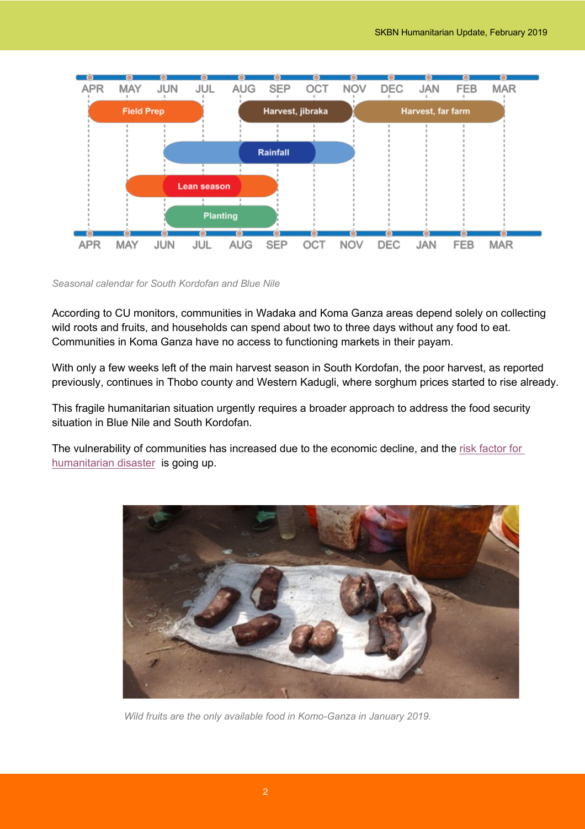

#### *Seasonal calendar for South Kordofan and Blue Nile*

According to CU monitors, communities in Wadaka and Koma Ganza areas depend solely on collecting wild roots and fruits, and households can spend about two to three days without any food to eat. Communities in Koma Ganza have no access to functioning markets in their payam.

With only a few weeks left of the main harvest season in South Kordofan, the poor harvest, as reported previously, continues in Thobo county and Western Kadugli, where sorghum prices started to rise already.

This fragile humanitarian situation urgently requires a broader approach to address the food security situation in Blue Nile and South Kordofan.

The vulnerability of communities has increased due to the economic decline, and the risk factor for humanitarian disaster is going up.



*Wild fruits are the only available food in Komo-Ganza in January 2019.*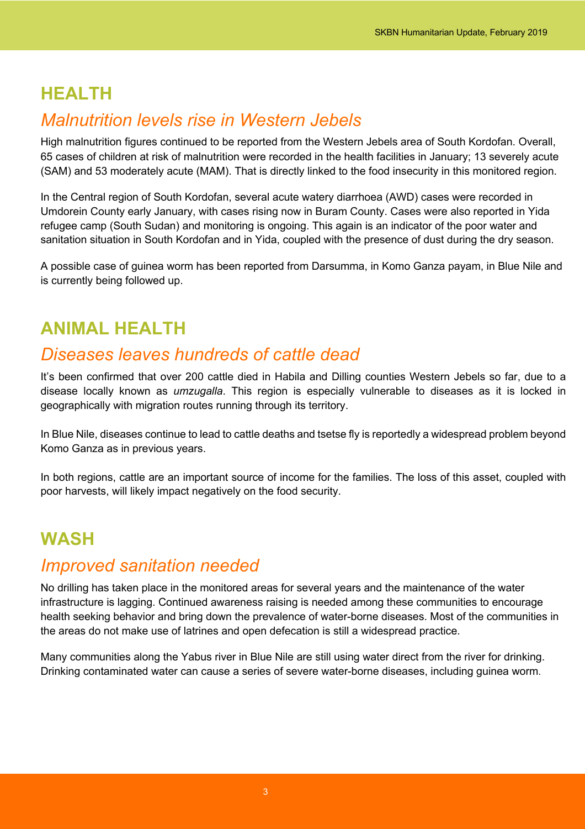### **HEALTH**

#### *Malnutrition levels rise in Western Jebels*

High malnutrition figures continued to be reported from the Western Jebels area of South Kordofan. Overall, 65 cases of children at risk of malnutrition were recorded in the health facilities in January; 13 severely acute (SAM) and 53 moderately acute (MAM). That is directly linked to the food insecurity in this monitored region.

In the Central region of South Kordofan, several acute watery diarrhoea (AWD) cases were recorded in Umdorein County early January, with cases rising now in Buram County. Cases were also reported in Yida refugee camp (South Sudan) and monitoring is ongoing. This again is an indicator of the poor water and sanitation situation in South Kordofan and in Yida, coupled with the presence of dust during the dry season.

A possible case of guinea worm has been reported from Darsumma, in Komo Ganza payam, in Blue Nile and is currently being followed up.

## **ANIMAL HEALTH**

#### *Diseases leaves hundreds of cattle dead*

It's been confirmed that over 200 cattle died in Habila and Dilling counties Western Jebels so far, due to a disease locally known as *umzugalla*. This region is especially vulnerable to diseases as it is locked in geographically with migration routes running through its territory.

In Blue Nile, diseases continue to lead to cattle deaths and tsetse fly is reportedly a widespread problem beyond Komo Ganza as in previous years.

In both regions, cattle are an important source of income for the families. The loss of this asset, coupled with poor harvests, will likely impact negatively on the food security.

# **WASH**

#### *Improved sanitation needed*

No drilling has taken place in the monitored areas for several years and the maintenance of the water infrastructure is lagging. Continued awareness raising is needed among these communities to encourage health seeking behavior and bring down the prevalence of water-borne diseases. Most of the communities in the areas do not make use of latrines and open defecation is still a widespread practice.

Many communities along the Yabus river in Blue Nile are still using water direct from the river for drinking. Drinking contaminated water can cause a series of severe water-borne diseases, including guinea worm.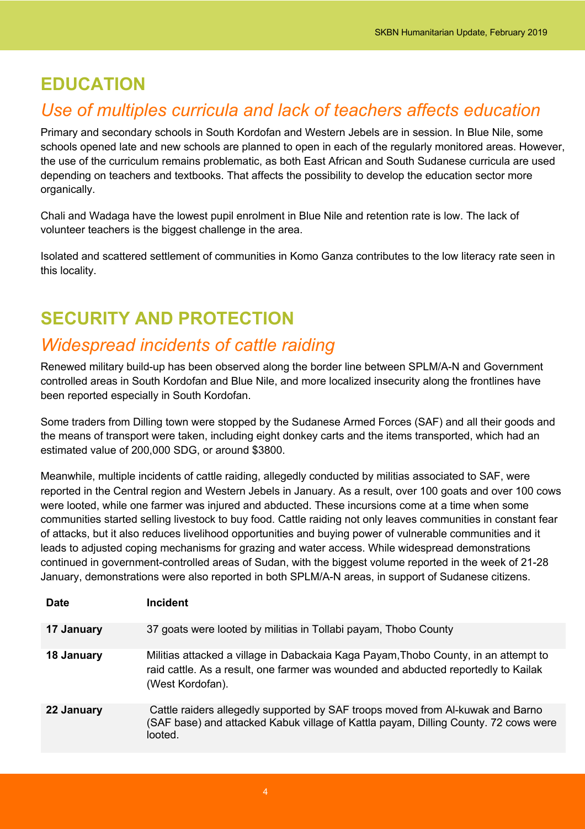#### **EDUCATION**

### *Use of multiples curricula and lack of teachers affects education*

Primary and secondary schools in South Kordofan and Western Jebels are in session. In Blue Nile, some schools opened late and new schools are planned to open in each of the regularly monitored areas. However, the use of the curriculum remains problematic, as both East African and South Sudanese curricula are used depending on teachers and textbooks. That affects the possibility to develop the education sector more organically.

Chali and Wadaga have the lowest pupil enrolment in Blue Nile and retention rate is low. The lack of volunteer teachers is the biggest challenge in the area.

Isolated and scattered settlement of communities in Komo Ganza contributes to the low literacy rate seen in this locality.

# **SECURITY AND PROTECTION**

### *Widespread incidents of cattle raiding*

Renewed military build-up has been observed along the border line between SPLM/A-N and Government controlled areas in South Kordofan and Blue Nile, and more localized insecurity along the frontlines have been reported especially in South Kordofan.

Some traders from Dilling town were stopped by the Sudanese Armed Forces (SAF) and all their goods and the means of transport were taken, including eight donkey carts and the items transported, which had an estimated value of 200,000 SDG, or around \$3800.

Meanwhile, multiple incidents of cattle raiding, allegedly conducted by militias associated to SAF, were reported in the Central region and Western Jebels in January. As a result, over 100 goats and over 100 cows were looted, while one farmer was injured and abducted. These incursions come at a time when some communities started selling livestock to buy food. Cattle raiding not only leaves communities in constant fear of attacks, but it also reduces livelihood opportunities and buying power of vulnerable communities and it leads to adjusted coping mechanisms for grazing and water access. While widespread demonstrations continued in government-controlled areas of Sudan, with the biggest volume reported in the week of 21-28 January, demonstrations were also reported in both SPLM/A-N areas, in support of Sudanese citizens.

| <b>Date</b> | <b>Incident</b>                                                                                                                                                                               |
|-------------|-----------------------------------------------------------------------------------------------------------------------------------------------------------------------------------------------|
| 17 January  | 37 goats were looted by militias in Tollabi payam, Thobo County                                                                                                                               |
| 18 January  | Militias attacked a village in Dabackaia Kaga Payam, Thobo County, in an attempt to<br>raid cattle. As a result, one farmer was wounded and abducted reportedly to Kailak<br>(West Kordofan). |
| 22 January  | Cattle raiders allegedly supported by SAF troops moved from Al-kuwak and Barno<br>(SAF base) and attacked Kabuk village of Kattla payam, Dilling County. 72 cows were<br>looted.              |